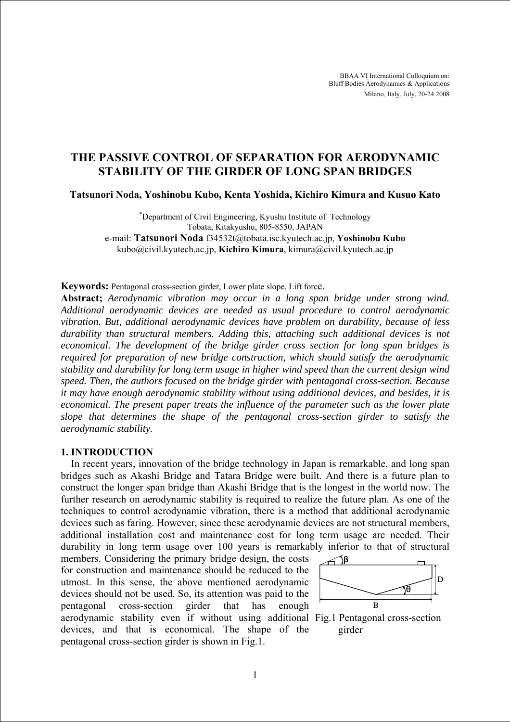BBAA VI International Colloquium on: Bluff Bodies Aerodynamics & Applications Milano, Italy, July, 20-24 2008

# **THE PASSIVE CONTROL OF SEPARATION FOR AERODYNAMIC STABILITY OF THE GIRDER OF LONG SPAN BRIDGES**

**Tatsunori Noda, Yoshinobu Kubo, Kenta Yoshida, Kichiro Kimura and Kusuo Kato** 

∗ Department of Civil Engineering, Kyushu Institute of Technology Tobata, Kitakyushu, 805-8550, JAPAN e-mail: **Tatsunori Noda** f34532t@tobata.isc.kyutech.ac.jp, **Yoshinobu Kubo** kubo@civil.kyutech.ac.jp, **Kichiro Kimura**, kimura@civil.kyutech.ac.jp

**Keywords:** Pentagonal cross-section girder, Lower plate slope, Lift force.

**Abstract;** *Aerodynamic vibration may occur in a long span bridge under strong wind. Additional aerodynamic devices are needed as usual procedure to control aerodynamic vibration. But, additional aerodynamic devices have problem on durability, because of less durability than structural members. Adding this, attaching such additional devices is not economical. The development of the bridge girder cross section for long span bridges is required for preparation of new bridge construction, which should satisfy the aerodynamic stability and durability for long term usage in higher wind speed than the current design wind speed. Then, the authors focused on the bridge girder with pentagonal cross-section. Because it may have enough aerodynamic stability without using additional devices, and besides, it is economical. The present paper treats the influence of the parameter such as the lower plate slope that determines the shape of the pentagonal cross-section girder to satisfy the aerodynamic stability.* 

#### **1. INTRODUCTION**

In recent years, innovation of the bridge technology in Japan is remarkable, and long span bridges such as Akashi Bridge and Tatara Bridge were built. And there is a future plan to construct the longer span bridge than Akashi Bridge that is the longest in the world now. The further research on aerodynamic stability is required to realize the future plan. As one of the techniques to control aerodynamic vibration, there is a method that additional aerodynamic devices such as faring. However, since these aerodynamic devices are not structural members, additional installation cost and maintenance cost for long term usage are needed. Their durability in long term usage over 100 years is remarkably inferior to that of structural

members. Considering the primary bridge design, the costs for construction and maintenance should be reduced to the utmost. In this sense, the above mentioned aerodynamic devices should not be used. So, its attention was paid to the pentagonal cross-section girder that has enough aerodynamic stability even if without using additional Fig.1 Pentagonal cross-section devices, and that is economical. The shape of the pentagonal cross-section girder is shown in Fig.1.



girder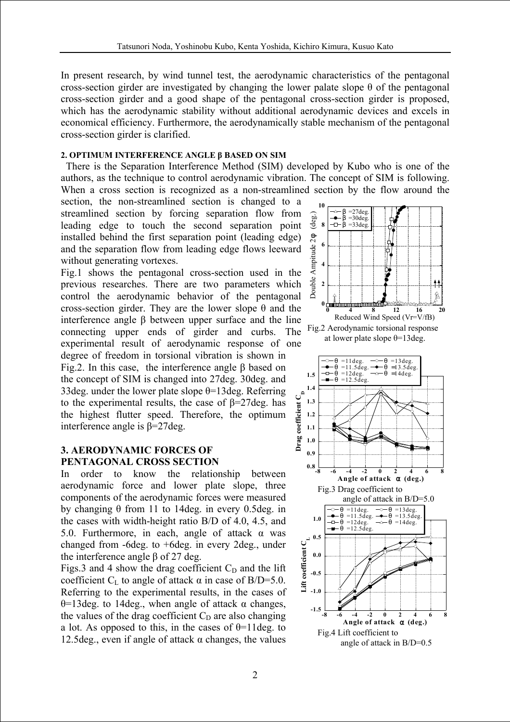In present research, by wind tunnel test, the aerodynamic characteristics of the pentagonal cross-section girder are investigated by changing the lower palate slope  $\theta$  of the pentagonal cross-section girder and a good shape of the pentagonal cross-section girder is proposed, which has the aerodynamic stability without additional aerodynamic devices and excels in economical efficiency. Furthermore, the aerodynamically stable mechanism of the pentagonal cross-section girder is clarified.

## **2. OPTIMUM INTERFERENCE ANGLE β BASED ON SIM**

There is the Separation Interference Method (SIM) developed by Kubo who is one of the authors, as the technique to control aerodynamic vibration. The concept of SIM is following. When a cross section is recognized as a non-streamlined section by the flow around the

section, the non-streamlined section is changed to a streamlined section by forcing separation flow from leading edge to touch the second separation point installed behind the first separation point (leading edge) and the separation flow from leading edge flows leeward without generating vortexes.

Fig.1 shows the pentagonal cross-section used in the previous researches. There are two parameters which control the aerodynamic behavior of the pentagonal cross-section girder. They are the lower slope θ and the interference angle β between upper surface and the line connecting upper ends of girder and curbs. The experimental result of aerodynamic response of one degree of freedom in torsional vibration is shown in Fig.2. In this case, the interference angle β based on the concept of SIM is changed into 27deg. 30deg. and 33deg. under the lower plate slope  $\theta$ =13deg. Referring Drag coefficient  $\mathcal{C}_{\rm p}$ to the experimental results, the case of β=27deg. has the highest flutter speed. Therefore, the optimum interference angle is β=27deg.

# **3. AERODYNAMIC FORCES OF PENTAGONAL CROSS SECTION**

In order to know the relationship between aerodynamic force and lower plate slope, three components of the aerodynamic forces were measured by changing θ from 11 to 14deg. in every 0.5deg. in the cases with width-height ratio B/D of 4.0, 4.5, and 5.0. Furthermore, in each, angle of attack α was changed from -6deg. to +6deg. in every 2deg., under the interference angle β of 27 deg.

Figs.3 and 4 show the drag coefficient  $C_D$  and the lift coefficient C<sub>L</sub> to angle of attack  $\alpha$  in case of B/D=5.0. Referring to the experimental results, in the cases of θ=13deg. to 14deg., when angle of attack α changes, the values of the drag coefficient  $C<sub>D</sub>$  are also changing a lot. As opposed to this, in the cases of  $\theta$ =11deg. to 12.5deg., even if angle of attack  $\alpha$  changes, the values

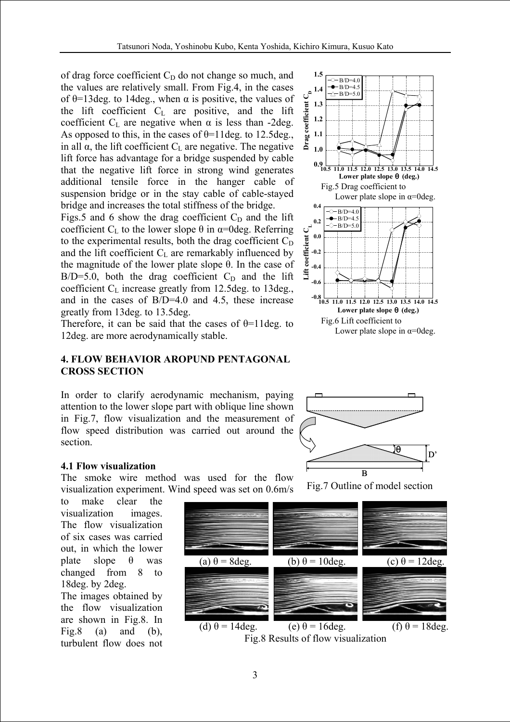**1.5**

of drag force coefficient  $C_D$  do not change so much, and the values are relatively small. From Fig.4, in the cases of  $\theta$ =13deg. to 14deg., when  $\alpha$  is positive, the values of the lift coefficient  $C_L$  are positive, and the lift coefficient  $C_L$  are negative when  $\alpha$  is less than -2deg. As opposed to this, in the cases of  $\theta$ =11deg. to 12.5deg., in all  $\alpha$ , the lift coefficient  $C_{\text{L}}$  are negative. The negative lift force has advantage for a bridge suspended by cable that the negative lift force in strong wind generates additional tensile force in the hanger cable of suspension bridge or in the stay cable of cable-stayed bridge and increases the total stiffness of the bridge.

Figs.5 and 6 show the drag coefficient  $C_D$  and the lift coefficient C<sub>L</sub> to the lower slope  $\theta$  in  $\alpha$ =0deg. Referring to the experimental results, both the drag coefficient  $C_D$ and the lift coefficient  $C_{L}$  are remarkably influenced by the magnitude of the lower plate slope θ. In the case of  $B/D=5.0$ , both the drag coefficient  $C_D$  and the lift coefficient  $C_L$  increase greatly from 12.5deg. to 13deg., and in the cases of B/D=4.0 and 4.5, these increase greatly from 13deg. to 13.5deg.

Therefore, it can be said that the cases of  $\theta$ =11deg. to 12deg. are more aerodynamically stable.

### **4. FLOW BEHAVIOR AROPUND PENTAGONAL CROSS SECTION**

In order to clarify aerodynamic mechanism, paying attention to the lower slope part with oblique line shown in Fig.7, flow visualization and the measurement of flow speed distribution was carried out around the section.



The smoke wire method was used for the flow visualization experiment. Wind speed was set on 0.6m/s

to make clear the visualization images. The flow visualization of six cases was carried out, in which the lower plate slope  $\theta$  was changed from 8 to 18deg. by 2deg.

The images obtained by the flow visualization are shown in Fig.8. In Fig.8 (a) and (b), turbulent flow does not





Fig.7 Outline of model section